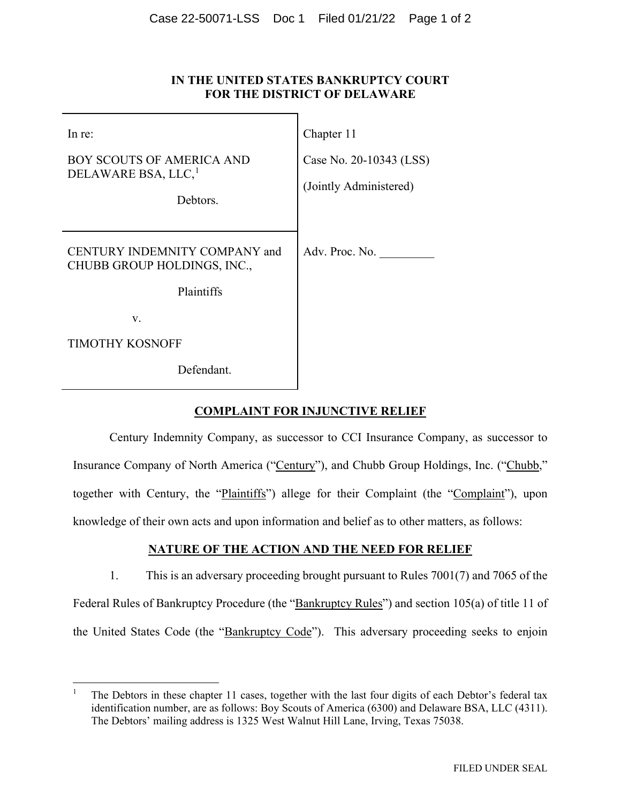### **IN THE UNITED STATES BANKRUPTCY COURT FOR THE DISTRICT OF DELAWARE**

| In re:                                                                          | Chapter 11                                        |
|---------------------------------------------------------------------------------|---------------------------------------------------|
| <b>BOY SCOUTS OF AMERICA AND</b><br>DELAWARE BSA, LLC, <sup>1</sup><br>Debtors. | Case No. 20-10343 (LSS)<br>(Jointly Administered) |
| CENTURY INDEMNITY COMPANY and<br>CHUBB GROUP HOLDINGS, INC.,                    | Adv. Proc. No.                                    |
| Plaintiffs                                                                      |                                                   |
| V.                                                                              |                                                   |
| <b>TIMOTHY KOSNOFF</b>                                                          |                                                   |
| Defendant.                                                                      |                                                   |

### **COMPLAINT FOR INJUNCTIVE RELIEF**

Century Indemnity Company, as successor to CCI Insurance Company, as successor to Insurance Company of North America ("Century"), and Chubb Group Holdings, Inc. ("Chubb," together with Century, the "Plaintiffs") allege for their Complaint (the "Complaint"), upon knowledge of their own acts and upon information and belief as to other matters, as follows:

# **NATURE OF THE ACTION AND THE NEED FOR RELIEF**

1. This is an adversary proceeding brought pursuant to Rules 7001(7) and 7065 of the Federal Rules of Bankruptcy Procedure (the "Bankruptcy Rules") and section 105(a) of title 11 of the United States Code (the "Bankruptcy Code"). This adversary proceeding seeks to enjoin

<sup>1</sup> The Debtors in these chapter 11 cases, together with the last four digits of each Debtor's federal tax identification number, are as follows: Boy Scouts of America (6300) and Delaware BSA, LLC (4311). The Debtors' mailing address is 1325 West Walnut Hill Lane, Irving, Texas 75038.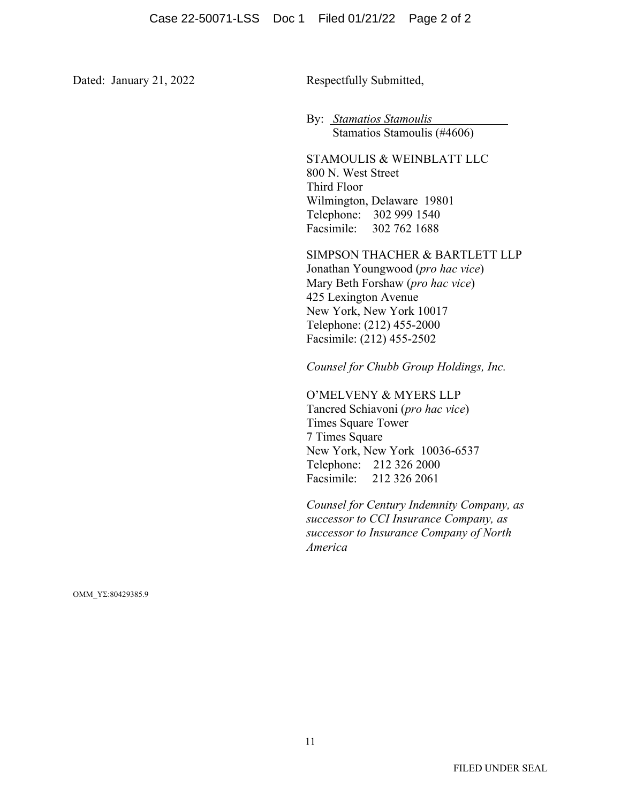Dated: January 21, 2022 Respectfully Submitted,

By: *Stamatios Stamoulis* Stamatios Stamoulis (#4606)

STAMOULIS & WEINBLATT LLC 800 N. West Street Third Floor Wilmington, Delaware 19801 Telephone: 302 999 1540 Facsimile: 302 762 1688

SIMPSON THACHER & BARTLETT LLP Jonathan Youngwood (*pro hac vice*) Mary Beth Forshaw (*pro hac vice*) 425 Lexington Avenue New York, New York 10017 Telephone: (212) 455-2000 Facsimile: (212) 455-2502

*Counsel for Chubb Group Holdings, Inc.*

O'MELVENY & MYERS LLP Tancred Schiavoni (*pro hac vice*) Times Square Tower 7 Times Square New York, New York 10036-6537 Telephone: 212 326 2000 Facsimile: 212 326 2061

*Counsel for Century Indemnity Company, as successor to CCI Insurance Company, as successor to Insurance Company of North America* 

ΟΜΜ\_ΥΣ:80429385.9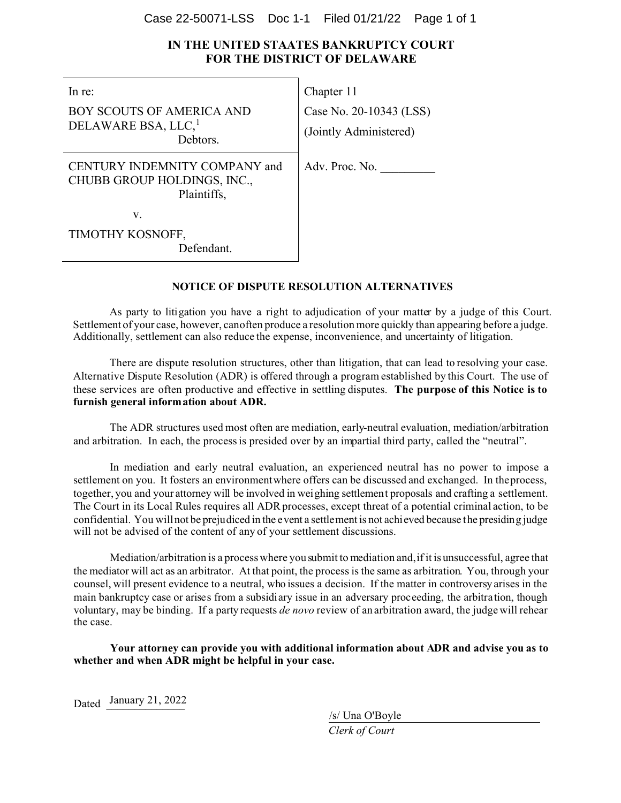#### Case 22-50071-LSS Doc 1-1 Filed 01/21/22 Page 1 of 1

## **IN THE UNITED STAATES BANKRUPTCY COURT FOR THE DISTRICT OF DELAWARE**

| In re:                                                                      | Chapter 11                                        |
|-----------------------------------------------------------------------------|---------------------------------------------------|
| BOY SCOUTS OF AMERICA AND<br>DELAWARE BSA, LLC, <sup>1</sup><br>Debtors.    | Case No. 20-10343 (LSS)<br>(Jointly Administered) |
| CENTURY INDEMNITY COMPANY and<br>CHUBB GROUP HOLDINGS, INC.,<br>Plaintiffs, | Adv. Proc. No.                                    |
| v.                                                                          |                                                   |
| TIMOTHY KOSNOFF,                                                            |                                                   |
| Defendant.                                                                  |                                                   |

#### **NOTICE OF DISPUTE RESOLUTION ALTERNATIVES**

As party to litigation you have a right to adjudication of your matter by a judge of this Court. Settlement of your case, however, canoften produce a resolution more quickly than appearing before a judge. Additionally, settlement can also reduce the expense, inconvenience, and uncertainty of litigation.

There are dispute resolution structures, other than litigation, that can lead to resolving your case. Alternative Dispute Resolution (ADR) is offered through a program established by this Court. The use of these services are often productive and effective in settling disputes. **The purpose of this Notice is to furnish general information about ADR.**

The ADR structures used most often are mediation, early-neutral evaluation, mediation/arbitration and arbitration. In each, the process is presided over by an impartial third party, called the "neutral".

In mediation and early neutral evaluation, an experienced neutral has no power to impose a settlement on you. It fosters an environmentwhere offers can be discussed and exchanged. In theprocess, together, you and your attorney will be involved in weighing settlement proposals and crafting a settlement. The Court in its Local Rules requires all ADR processes, except threat of a potential criminal action, to be confidential. You will not be prejudiced in the event a settlement is not achieved because the presiding judge will not be advised of the content of any of your settlement discussions.

Mediation/arbitration is a process where you submit to mediation and,if it is unsuccessful, agree that the mediator will act as an arbitrator. At that point, the process is the same as arbitration. You, through your counsel, will present evidence to a neutral, who issues a decision. If the matter in controversy arises in the main bankruptcy case or arises from a subsidiary issue in an adversary proceeding, the arbitration, though voluntary, may be binding. If a party requests *de novo* review of an arbitration award, the judge will rehear the case.

**Your attorney can provide you with additional information about ADR and advise you as to whether and when ADR might be helpful in your case.**

Dated January 21, 2022

/s/ Una O'Boyle

*Clerk of Court*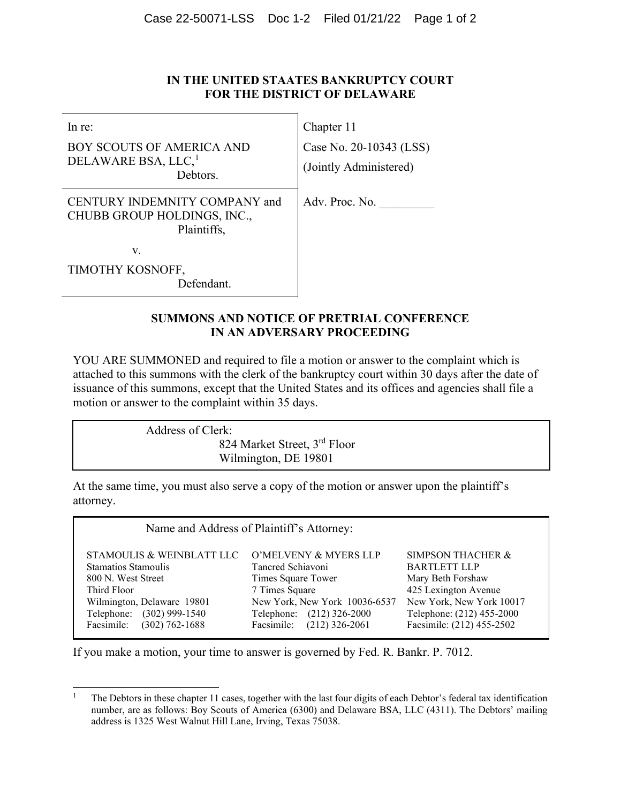## **IN THE UNITED STAATES BANKRUPTCY COURT FOR THE DISTRICT OF DELAWARE**

| $ln re$ :                                                                                                     | Chapter 11                                        |
|---------------------------------------------------------------------------------------------------------------|---------------------------------------------------|
| BOY SCOUTS OF AMERICA AND<br>DELAWARE BSA, LLC, <sup>1</sup><br>Debtors.                                      | Case No. 20-10343 (LSS)<br>(Jointly Administered) |
| CENTURY INDEMNITY COMPANY and<br>$\alpha$ ilinn $\alpha$ n $\alpha$ in II $\alpha$ i nn $\alpha$ e n $\alpha$ | Adv. Proc. No.                                    |

CHUBB GROUP HOLDINGS, INC., Plaintiffs,

v.

TIMOTHY KOSNOFF, Defendant.

## **SUMMONS AND NOTICE OF PRETRIAL CONFERENCE IN AN ADVERSARY PROCEEDING**

YOU ARE SUMMONED and required to file a motion or answer to the complaint which is attached to this summons with the clerk of the bankruptcy court within 30 days after the date of issuance of this summons, except that the United States and its offices and agencies shall file a motion or answer to the complaint within 35 days.

> Address of Clerk: 824 Market Street, 3rd Floor

Wilmington, DE 19801

At the same time, you must also serve a copy of the motion or answer upon the plaintiff's attorney.

| Name and Address of Plaintiff's Attorney: |                                |                              |  |  |
|-------------------------------------------|--------------------------------|------------------------------|--|--|
| STAMOULIS & WEINBLATT LLC                 | O'MELVENY & MYERS LLP          | <b>SIMPSON THACHER &amp;</b> |  |  |
| <b>Stamatios Stamoulis</b>                | Tancred Schiavoni              | <b>BARTLETT LLP</b>          |  |  |
| 800 N. West Street                        | Times Square Tower             | Mary Beth Forshaw            |  |  |
| Third Floor                               | 7 Times Square                 | 425 Lexington Avenue         |  |  |
| Wilmington, Delaware 19801                | New York, New York 10036-6537  | New York, New York 10017     |  |  |
| Telephone: (302) 999-1540                 | Telephone: (212) 326-2000      | Telephone: (212) 455-2000    |  |  |
| Facsimile: (302) 762-1688                 | Facsimile:<br>$(212)$ 326-2061 | Facsimile: (212) 455-2502    |  |  |

If you make a motion, your time to answer is governed by Fed. R. Bankr. P. 7012.

<sup>&</sup>lt;sup>1</sup> The Debtors in these chapter 11 cases, together with the last four digits of each Debtor's federal tax identification number, are as follows: Boy Scouts of America (6300) and Delaware BSA, LLC (4311). The Debtors' mailing address is 1325 West Walnut Hill Lane, Irving, Texas 75038.